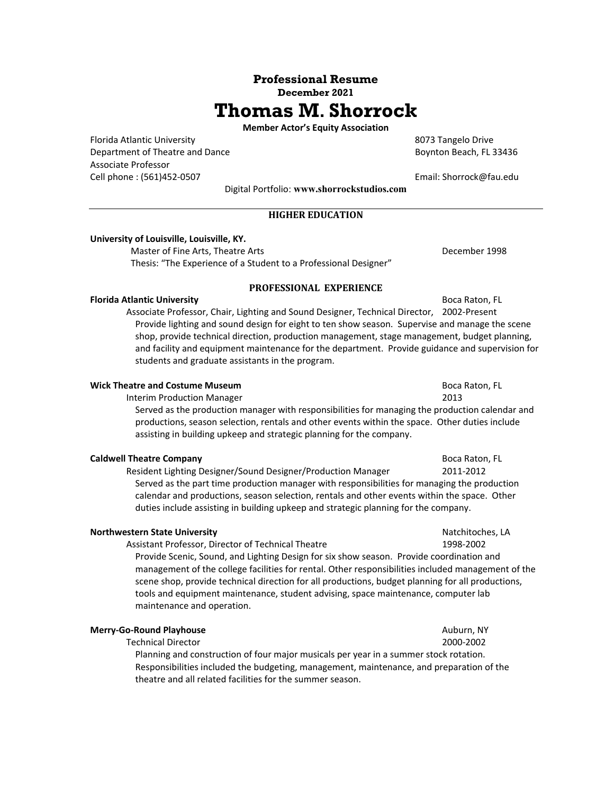## **Professional Resume December 2021**

# **Thomas M. Shorrock**

**Member Actor's Equity Association**

Florida Atlantic University **8073** Tangelo Drive Department of Theatre and Dance **Boynton Beach, FL 33436** Associate Professor Cell phone : (561)452‐0507 Email: Shorrock@fau.edu

Digital Portfolio: **www.shorrockstudios.com** 

## **HIGHER EDUCATION**

#### **University of Louisville, Louisville, KY.**

Master of Fine Arts, Theatre Arts **Britannia** Channel Channel Box 2014 December 1998 Thesis: "The Experience of a Student to a Professional Designer"

**PROFESSIONAL EXPERIENCE**

**Florida Atlantic University Boca Raton, FL Boca Raton, FL Boca Raton, FL**  Associate Professor, Chair, Lighting and Sound Designer, Technical Director, 2002‐Present Provide lighting and sound design for eight to ten show season. Supervise and manage the scene shop, provide technical direction, production management, stage management, budget planning, and facility and equipment maintenance for the department. Provide guidance and supervision for students and graduate assistants in the program.

#### **Wick Theatre and Costume Museum <b>Boca Raton**, FL 8000 **Boca Raton**, FL

Interim Production Manager 2013

Served as the production manager with responsibilities for managing the production calendar and productions, season selection, rentals and other events within the space. Other duties include assisting in building upkeep and strategic planning for the company.

#### **Caldwell Theatre Company**  Boca Raton, FL **Caldwell Theatre Company**

 Resident Lighting Designer/Sound Designer/Production Manager 2011‐2012 Served as the part time production manager with responsibilities for managing the production calendar and productions, season selection, rentals and other events within the space. Other duties include assisting in building upkeep and strategic planning for the company.

#### **Northwestern State University 12 August 2020** 12 August 2021 12:30 20:40 20:40 Natchitoches, LA

Assistant Professor, Director of Technical Theatre 1998‐2002

Provide Scenic, Sound, and Lighting Design for six show season. Provide coordination and management of the college facilities for rental. Other responsibilities included management of the scene shop, provide technical direction for all productions, budget planning for all productions, tools and equipment maintenance, student advising, space maintenance, computer lab maintenance and operation.

#### **Merry-Go-Round Playhouse Auburn, NY Auburn, NY Auburn, NY**

#### Technical Director 2000‐2002

 Planning and construction of four major musicals per year in a summer stock rotation. Responsibilities included the budgeting, management, maintenance, and preparation of the theatre and all related facilities for the summer season.